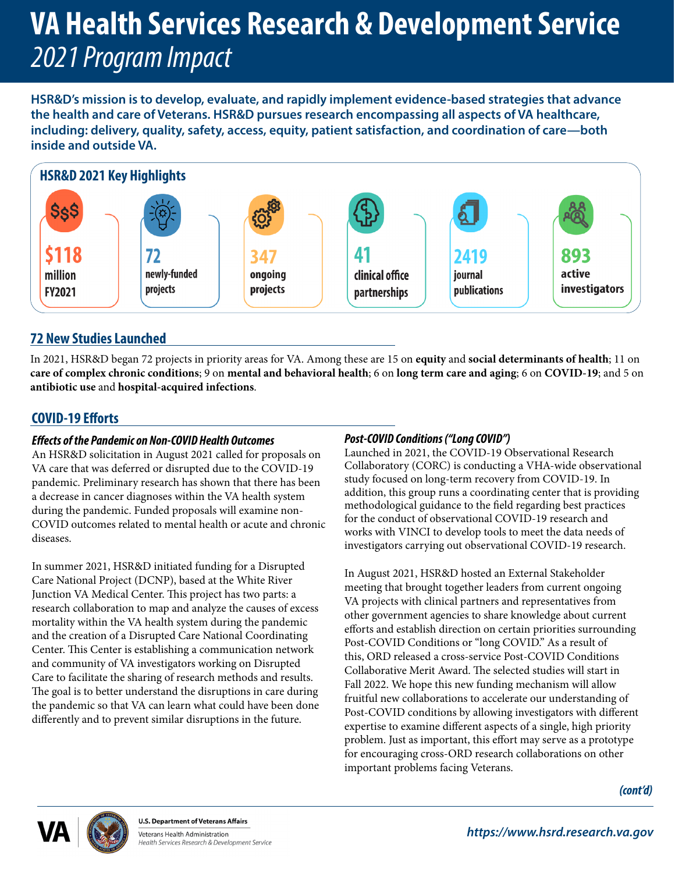# **VA Health Services Research & Development Service** *2021 Program Impact*

**HSR&D's mission is to develop, evaluate, and rapidly implement evidence-based strategies that advance the health and care of Veterans. HSR&D pursues research encompassing all aspects of VA healthcare, including: delivery, quality, safety, access, equity, patient satisfaction, and coordination of care—both inside and outside VA.**



# **72 New Studies Launched**

In 2021, HSR&D began 72 projects in priority areas for VA. Among these are 15 on **equity** and **social determinants of health**; 11 on **care of complex chronic conditions**; 9 on **mental and behavioral health**; 6 on **long term care and aging**; 6 on **COVID-19**; and 5 on **antibiotic use** and **hospital-acquired infections**.

# **COVID-19 Efforts**

### *Effects of the Pandemic on Non-COVID Health Outcomes*

An HSR&D solicitation in August 2021 called for proposals on VA care that was deferred or disrupted due to the COVID-19 pandemic. Preliminary research has shown that there has been a decrease in cancer diagnoses within the VA health system during the pandemic. Funded proposals will examine non-COVID outcomes related to mental health or acute and chronic diseases.

In summer 2021, HSR&D initiated funding for a Disrupted Care National Project (DCNP), based at the White River Junction VA Medical Center. This project has two parts: a research collaboration to map and analyze the causes of excess mortality within the VA health system during the pandemic and the creation of a Disrupted Care National Coordinating Center. This Center is establishing a communication network and community of VA investigators working on Disrupted Care to facilitate the sharing of research methods and results. The goal is to better understand the disruptions in care during the pandemic so that VA can learn what could have been done differently and to prevent similar disruptions in the future.

## *Post-COVID Conditions ("Long COVID")*

Launched in 2021, the COVID-19 Observational Research Collaboratory (CORC) is conducting a VHA-wide observational study focused on long-term recovery from COVID-19. In addition, this group runs a coordinating center that is providing methodological guidance to the field regarding best practices for the conduct of observational COVID-19 research and works with VINCI to develop tools to meet the data needs of investigators carrying out observational COVID-19 research.

In August 2021, HSR&D hosted an External Stakeholder meeting that brought together leaders from current ongoing VA projects with clinical partners and representatives from other government agencies to share knowledge about current efforts and establish direction on certain priorities surrounding Post-COVID Conditions or "long COVID." As a result of this, ORD released a cross-service Post-COVID Conditions Collaborative Merit Award. The selected studies will start in Fall 2022. We hope this new funding mechanism will allow fruitful new collaborations to accelerate our understanding of Post-COVID conditions by allowing investigators with different expertise to examine different aspects of a single, high priority problem. Just as important, this effort may serve as a prototype for encouraging cross-ORD research collaborations on other important problems facing Veterans.



**U.S. Department of Veterans Affairs** Veterans Health Administration

Health Services Research & Development Service

*(cont'd)*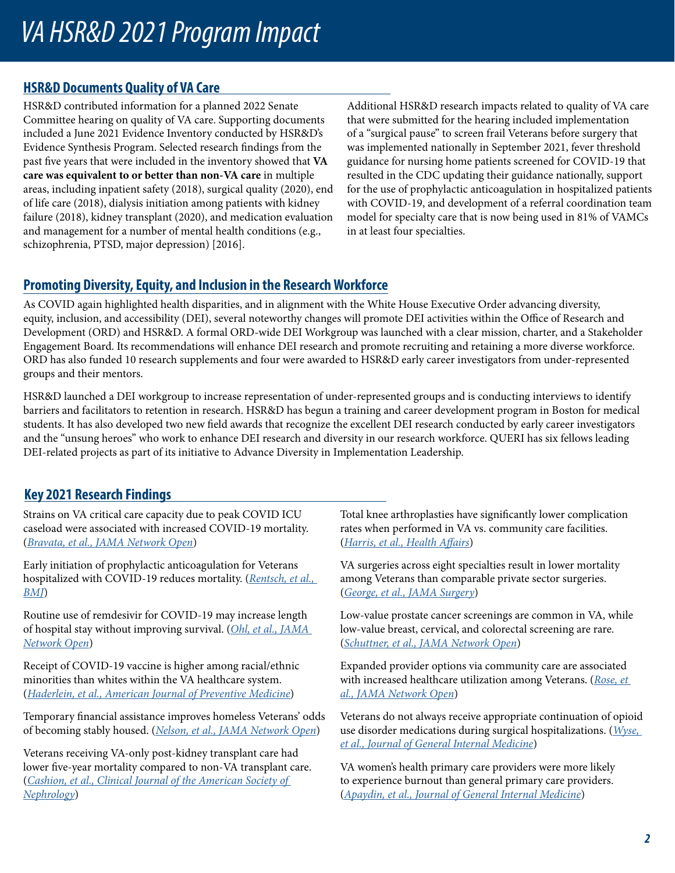# *VA HSR&D 2021 Program Impact*

## **HSR&D Documents Quality of VA Care**

HSR&D contributed information for a planned 2022 Senate Committee hearing on quality of VA care. Supporting documents included a June 2021 Evidence Inventory conducted by HSR&D's Evidence Synthesis Program. Selected research findings from the past five years that were included in the inventory showed that **VA care was equivalent to or better than non-VA care** in multiple areas, including inpatient safety (2018), surgical quality (2020), end of life care (2018), dialysis initiation among patients with kidney failure (2018), kidney transplant (2020), and medication evaluation and management for a number of mental health conditions (e.g., schizophrenia, PTSD, major depression) [2016].

Additional HSR&D research impacts related to quality of VA care that were submitted for the hearing included implementation of a "surgical pause" to screen frail Veterans before surgery that was implemented nationally in September 2021, fever threshold guidance for nursing home patients screened for COVID-19 that resulted in the CDC updating their guidance nationally, support for the use of prophylactic anticoagulation in hospitalized patients with COVID-19, and development of a referral coordination team model for specialty care that is now being used in 81% of VAMCs in at least four specialties.

# **Promoting Diversity, Equity, and Inclusion in the Research Workforce**

As COVID again highlighted health disparities, and in alignment with the White House Executive Order advancing diversity, equity, inclusion, and accessibility (DEI), several noteworthy changes will promote DEI activities within the Office of Research and Development (ORD) and HSR&D. A formal ORD-wide DEI Workgroup was launched with a clear mission, charter, and a Stakeholder Engagement Board. Its recommendations will enhance DEI research and promote recruiting and retaining a more diverse workforce. ORD has also funded 10 research supplements and four were awarded to HSR&D early career investigators from under-represented groups and their mentors.

HSR&D launched a DEI workgroup to increase representation of under-represented groups and is conducting interviews to identify barriers and facilitators to retention in research. HSR&D has begun a training and career development program in Boston for medical students. It has also developed two new field awards that recognize the excellent DEI research conducted by early career investigators and the "unsung heroes" who work to enhance DEI research and diversity in our research workforce. QUERI has six fellows leading DEI-related projects as part of its initiative to Advance Diversity in Implementation Leadership.

# **Key 2021 Research Findings**

Strains on VA critical care capacity due to peak COVID ICU caseload were associated with increased COVID-19 mortality. (*[Bravata, et al., JAMA Network Open](https://pubmed.ncbi.nlm.nih.gov/33464319/)*)

Early initiation of prophylactic anticoagulation for Veterans hospitalized with COVID-19 reduces mortality. (*[Rentsch, et al.,](https://pubmed.ncbi.nlm.nih.gov/33574135/)  [BMJ](https://pubmed.ncbi.nlm.nih.gov/33574135/)*)

Routine use of remdesivir for COVID-19 may increase length of hospital stay without improving survival. (*[Ohl, et al., JAMA](https://pubmed.ncbi.nlm.nih.gov/34264329/)  [Network Open](https://pubmed.ncbi.nlm.nih.gov/34264329/)*)

Receipt of COVID-19 vaccine is higher among racial/ethnic minorities than whites within the VA healthcare system. (*[Haderlein, et al., American Journal of Preventive Medicine](https://pubmed.ncbi.nlm.nih.gov/34782188/)*)

Temporary financial assistance improves homeless Veterans' odds of becoming stably housed. (*[Nelson, et al., JAMA Network Open](file:///\\VHABOSRES7.v01.med.va.gov\bosres\CIDER\HSR&D General\2021\Year End Summaries\Temporary Financial Assistance Improves Homeless Veterans)*)

Veterans receiving VA-only post-kidney transplant care had lower five-year mortality compared to non-VA transplant care. (*[Cashion, et al., Clinical Journal of the American Society of](https://pubmed.ncbi.nlm.nih.gov/33602753/)  [Nephrology](https://pubmed.ncbi.nlm.nih.gov/33602753/)*)

Total knee arthroplasties have significantly lower complication rates when performed in VA vs. community care facilities. (*[Harris, et al., Health Affairs](https://pubmed.ncbi.nlm.nih.gov/34339235/)*)

VA surgeries across eight specialties result in lower mortality among Veterans than comparable private sector surgeries. (*[George, et al., JAMA Surgery](https://pubmed.ncbi.nlm.nih.gov/34964818/)*)

Low-value prostate cancer screenings are common in VA, while low-value breast, cervical, and colorectal screening are rare. (*[Schuttner, et al., JAMA Network Open](https://pubmed.ncbi.nlm.nih.gov/34677595/)*)

Expanded provider options via community care are associated with increased healthcare utilization among Veterans. (*[Rose, et](https://pubmed.ncbi.nlm.nih.gov/34698845/)  [al., JAMA Network Open](https://pubmed.ncbi.nlm.nih.gov/34698845/)*)

Veterans do not always receive appropriate continuation of opioid use disorder medications during surgical hospitalizations. (*[Wyse,](https://pubmed.ncbi.nlm.nih.gov/34545469/)  [et al., Journal of General Internal Medicine](https://pubmed.ncbi.nlm.nih.gov/34545469/)*)

VA women's health primary care providers were more likely to experience burnout than general primary care providers. (*[Apaydin, et al., Journal of General Internal Medicine](https://pubmed.ncbi.nlm.nih.gov/34618305/)*)